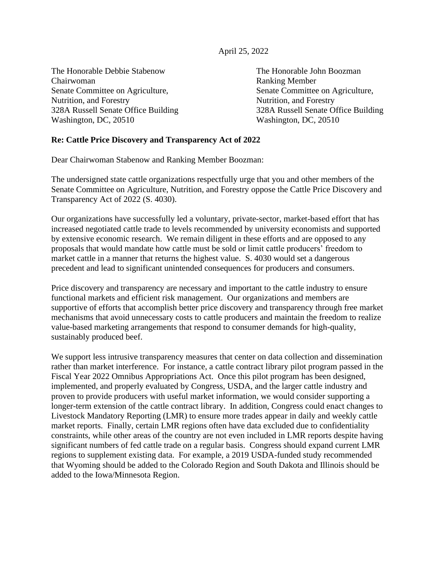April 25, 2022

The Honorable Debbie Stabenow The Honorable John Boozman Chairwoman Ranking Member Senate Committee on Agriculture, Senate Committee on Agriculture, Nutrition, and Forestry Nutrition, and Forestry Washington, DC, 20510 Washington, DC, 20510

328A Russell Senate Office Building 328A Russell Senate Office Building

## **Re: Cattle Price Discovery and Transparency Act of 2022**

Dear Chairwoman Stabenow and Ranking Member Boozman:

The undersigned state cattle organizations respectfully urge that you and other members of the Senate Committee on Agriculture, Nutrition, and Forestry oppose the Cattle Price Discovery and Transparency Act of 2022 (S. 4030).

Our organizations have successfully led a voluntary, private-sector, market-based effort that has increased negotiated cattle trade to levels recommended by university economists and supported by extensive economic research. We remain diligent in these efforts and are opposed to any proposals that would mandate how cattle must be sold or limit cattle producers' freedom to market cattle in a manner that returns the highest value. S. 4030 would set a dangerous precedent and lead to significant unintended consequences for producers and consumers.

Price discovery and transparency are necessary and important to the cattle industry to ensure functional markets and efficient risk management. Our organizations and members are supportive of efforts that accomplish better price discovery and transparency through free market mechanisms that avoid unnecessary costs to cattle producers and maintain the freedom to realize value-based marketing arrangements that respond to consumer demands for high-quality, sustainably produced beef.

We support less intrusive transparency measures that center on data collection and dissemination rather than market interference. For instance, a cattle contract library pilot program passed in the Fiscal Year 2022 Omnibus Appropriations Act. Once this pilot program has been designed, implemented, and properly evaluated by Congress, USDA, and the larger cattle industry and proven to provide producers with useful market information, we would consider supporting a longer-term extension of the cattle contract library. In addition, Congress could enact changes to Livestock Mandatory Reporting (LMR) to ensure more trades appear in daily and weekly cattle market reports. Finally, certain LMR regions often have data excluded due to confidentiality constraints, while other areas of the country are not even included in LMR reports despite having significant numbers of fed cattle trade on a regular basis. Congress should expand current LMR regions to supplement existing data. For example, a 2019 USDA-funded study recommended that Wyoming should be added to the Colorado Region and South Dakota and Illinois should be added to the Iowa/Minnesota Region.